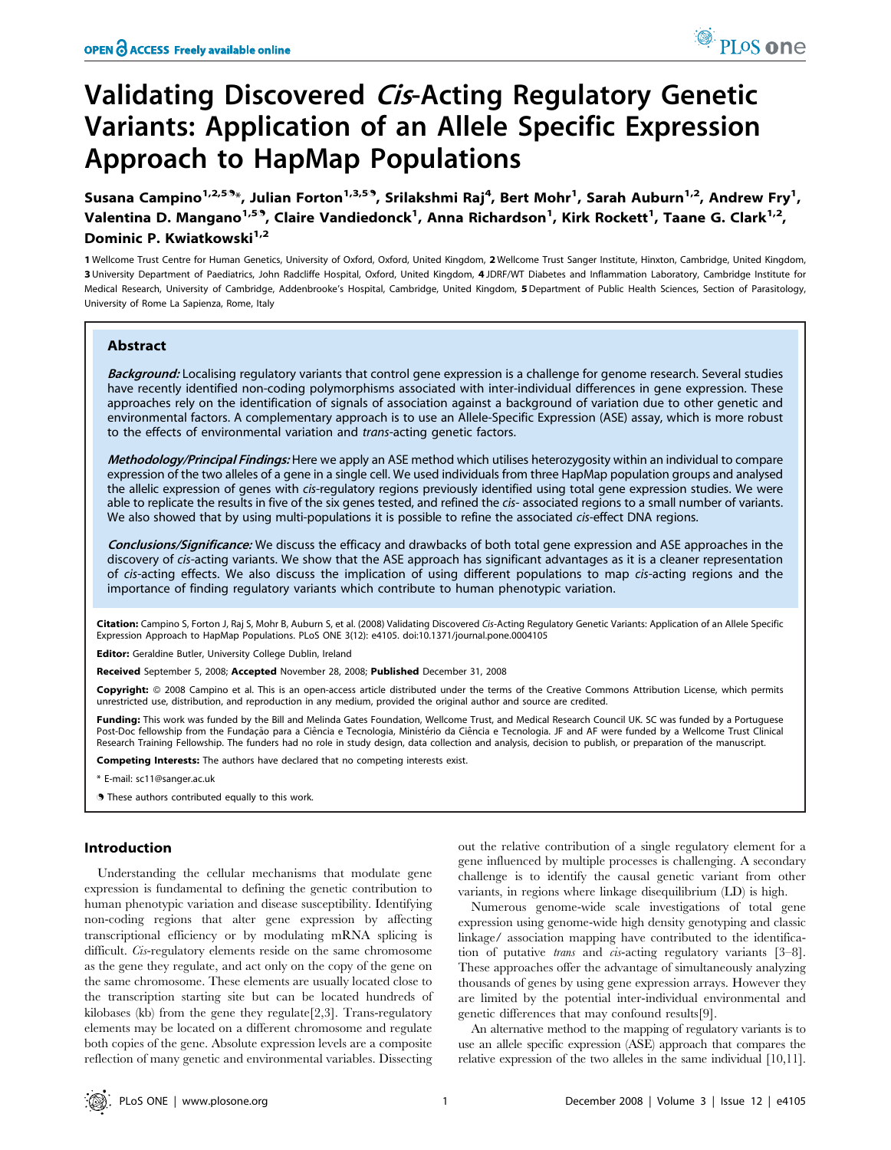# Validating Discovered Cis-Acting Regulatory Genetic Variants: Application of an Allele Specific Expression Approach to HapMap Populations

Susana Campino $^{1,2,5.9_\ast}$ , Julian Forton $^{1,3,5.9}$ , Srilakshmi Raj $^4$ , Bert Mohr $^1$ , Sarah Auburn $^{1,2}$ , Andrew Fry $^1$ , Valentina D. Mangano<sup>1,59</sup>, Claire Vandiedonck<sup>1</sup>, Anna Richardson<sup>1</sup>, Kirk Rockett<sup>1</sup>, Taane G. Clark<sup>1,2</sup>, Dominic P. Kwiatkowski<sup>1,2</sup>

1 Wellcome Trust Centre for Human Genetics, University of Oxford, Oxford, United Kingdom, 2 Wellcome Trust Sanger Institute, Hinxton, Cambridge, United Kingdom, 3 University Department of Paediatrics, John Radcliffe Hospital, Oxford, United Kingdom, 4 JDRF/WT Diabetes and Inflammation Laboratory, Cambridge Institute for Medical Research, University of Cambridge, Addenbrooke's Hospital, Cambridge, United Kingdom, 5 Department of Public Health Sciences, Section of Parasitology, University of Rome La Sapienza, Rome, Italy

# Abstract

Background: Localising regulatory variants that control gene expression is a challenge for genome research. Several studies have recently identified non-coding polymorphisms associated with inter-individual differences in gene expression. These approaches rely on the identification of signals of association against a background of variation due to other genetic and environmental factors. A complementary approach is to use an Allele-Specific Expression (ASE) assay, which is more robust to the effects of environmental variation and trans-acting genetic factors.

Methodology/Principal Findings: Here we apply an ASE method which utilises heterozygosity within an individual to compare expression of the two alleles of a gene in a single cell. We used individuals from three HapMap population groups and analysed the allelic expression of genes with cis-regulatory regions previously identified using total gene expression studies. We were able to replicate the results in five of the six genes tested, and refined the cis- associated regions to a small number of variants. We also showed that by using multi-populations it is possible to refine the associated cis-effect DNA regions.

Conclusions/Significance: We discuss the efficacy and drawbacks of both total gene expression and ASE approaches in the discovery of cis-acting variants. We show that the ASE approach has significant advantages as it is a cleaner representation of cis-acting effects. We also discuss the implication of using different populations to map cis-acting regions and the importance of finding regulatory variants which contribute to human phenotypic variation.

Citation: Campino S, Forton J, Raj S, Mohr B, Auburn S, et al. (2008) Validating Discovered Cis-Acting Regulatory Genetic Variants: Application of an Allele Specific Expression Approach to HapMap Populations. PLoS ONE 3(12): e4105. doi:10.1371/journal.pone.0004105

Editor: Geraldine Butler, University College Dublin, Ireland

Received September 5, 2008; Accepted November 28, 2008; Published December 31, 2008

Copyright: @ 2008 Campino et al. This is an open-access article distributed under the terms of the Creative Commons Attribution License, which permits unrestricted use, distribution, and reproduction in any medium, provided the original author and source are credited.

Funding: This work was funded by the Bill and Melinda Gates Foundation, Wellcome Trust, and Medical Research Council UK. SC was funded by a Portuguese Post-Doc fellowship from the Fundação para a Ciência e Tecnologia, Ministério da Ciência e Tecnologia. JF and AF were funded by a Wellcome Trust Clinical Research Training Fellowship. The funders had no role in study design, data collection and analysis, decision to publish, or preparation of the manuscript.

Competing Interests: The authors have declared that no competing interests exist.

\* E-mail: sc11@sanger.ac.uk

**.** These authors contributed equally to this work.

## Introduction

Understanding the cellular mechanisms that modulate gene expression is fundamental to defining the genetic contribution to human phenotypic variation and disease susceptibility. Identifying non-coding regions that alter gene expression by affecting transcriptional efficiency or by modulating mRNA splicing is difficult. Cis-regulatory elements reside on the same chromosome as the gene they regulate, and act only on the copy of the gene on the same chromosome. These elements are usually located close to the transcription starting site but can be located hundreds of kilobases (kb) from the gene they regulate[2,3]. Trans-regulatory elements may be located on a different chromosome and regulate both copies of the gene. Absolute expression levels are a composite reflection of many genetic and environmental variables. Dissecting

out the relative contribution of a single regulatory element for a gene influenced by multiple processes is challenging. A secondary challenge is to identify the causal genetic variant from other variants, in regions where linkage disequilibrium (LD) is high.

Numerous genome-wide scale investigations of total gene expression using genome-wide high density genotyping and classic linkage/ association mapping have contributed to the identification of putative *trans* and *cis*-acting regulatory variants [3–8]. These approaches offer the advantage of simultaneously analyzing thousands of genes by using gene expression arrays. However they are limited by the potential inter-individual environmental and genetic differences that may confound results[9].

An alternative method to the mapping of regulatory variants is to use an allele specific expression (ASE) approach that compares the relative expression of the two alleles in the same individual [10,11].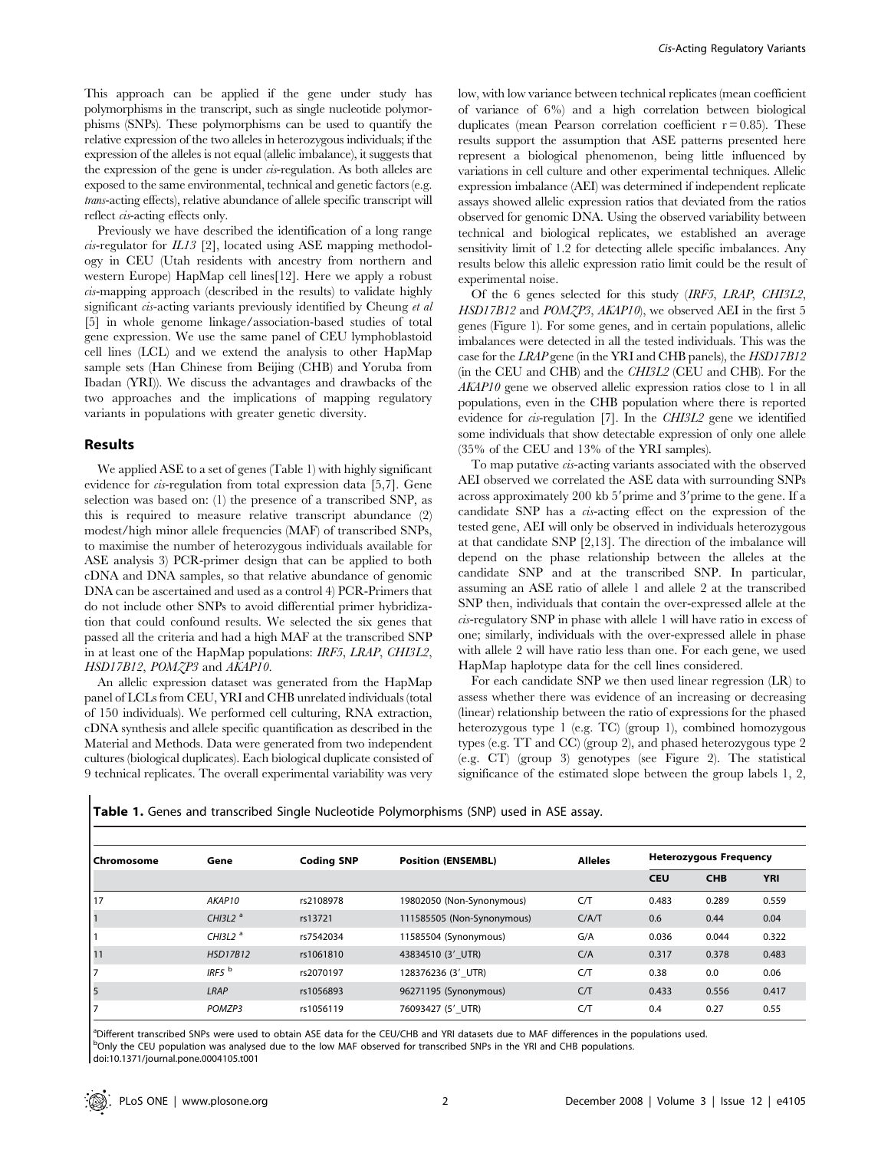This approach can be applied if the gene under study has polymorphisms in the transcript, such as single nucleotide polymorphisms (SNPs). These polymorphisms can be used to quantify the relative expression of the two alleles in heterozygous individuals; if the expression of the alleles is not equal (allelic imbalance), it suggests that the expression of the gene is under cis-regulation. As both alleles are exposed to the same environmental, technical and genetic factors (e.g. trans-acting effects), relative abundance of allele specific transcript will reflect cis-acting effects only.

Previously we have described the identification of a long range  $cis$ -regulator for  $IL13$  [2], located using ASE mapping methodology in CEU (Utah residents with ancestry from northern and western Europe) HapMap cell lines[12]. Here we apply a robust cis-mapping approach (described in the results) to validate highly significant *cis*-acting variants previously identified by Cheung et al. [5] in whole genome linkage/association-based studies of total gene expression. We use the same panel of CEU lymphoblastoid cell lines (LCL) and we extend the analysis to other HapMap sample sets (Han Chinese from Beijing (CHB) and Yoruba from Ibadan (YRI)). We discuss the advantages and drawbacks of the two approaches and the implications of mapping regulatory variants in populations with greater genetic diversity.

## Results

We applied ASE to a set of genes (Table 1) with highly significant evidence for *cis*-regulation from total expression data [5,7]. Gene selection was based on: (1) the presence of a transcribed SNP, as this is required to measure relative transcript abundance (2) modest/high minor allele frequencies (MAF) of transcribed SNPs, to maximise the number of heterozygous individuals available for ASE analysis 3) PCR-primer design that can be applied to both cDNA and DNA samples, so that relative abundance of genomic DNA can be ascertained and used as a control 4) PCR-Primers that do not include other SNPs to avoid differential primer hybridization that could confound results. We selected the six genes that passed all the criteria and had a high MAF at the transcribed SNP in at least one of the HapMap populations: IRF5, LRAP, CHI3L2, HSD17B12, POMZP3 and AKAP10.

An allelic expression dataset was generated from the HapMap panel of LCLs from CEU, YRI and CHB unrelated individuals (total of 150 individuals). We performed cell culturing, RNA extraction, cDNA synthesis and allele specific quantification as described in the Material and Methods. Data were generated from two independent cultures (biological duplicates). Each biological duplicate consisted of 9 technical replicates. The overall experimental variability was very

low, with low variance between technical replicates (mean coefficient of variance of 6%) and a high correlation between biological duplicates (mean Pearson correlation coefficient  $r = 0.85$ ). These results support the assumption that ASE patterns presented here represent a biological phenomenon, being little influenced by variations in cell culture and other experimental techniques. Allelic expression imbalance (AEI) was determined if independent replicate assays showed allelic expression ratios that deviated from the ratios observed for genomic DNA. Using the observed variability between technical and biological replicates, we established an average sensitivity limit of 1.2 for detecting allele specific imbalances. Any results below this allelic expression ratio limit could be the result of experimental noise.

Of the 6 genes selected for this study (IRF5, LRAP, CHI3L2, HSD17B12 and POMZP3, AKAP10), we observed AEI in the first 5 genes (Figure 1). For some genes, and in certain populations, allelic imbalances were detected in all the tested individuals. This was the case for the LRAP gene (in the YRI and CHB panels), the HSD17B12 (in the CEU and CHB) and the CHI3L2 (CEU and CHB). For the AKAP10 gene we observed allelic expression ratios close to 1 in all populations, even in the CHB population where there is reported evidence for cis-regulation [7]. In the CHI3L2 gene we identified some individuals that show detectable expression of only one allele (35% of the CEU and 13% of the YRI samples).

To map putative cis-acting variants associated with the observed AEI observed we correlated the ASE data with surrounding SNPs across approximately 200 kb 5'prime and 3'prime to the gene. If a candidate SNP has a *cu*-acting effect on the expression of the tested gene, AEI will only be observed in individuals heterozygous at that candidate SNP [2,13]. The direction of the imbalance will depend on the phase relationship between the alleles at the candidate SNP and at the transcribed SNP. In particular, assuming an ASE ratio of allele 1 and allele 2 at the transcribed SNP then, individuals that contain the over-expressed allele at the cis-regulatory SNP in phase with allele 1 will have ratio in excess of one; similarly, individuals with the over-expressed allele in phase with allele 2 will have ratio less than one. For each gene, we used HapMap haplotype data for the cell lines considered.

For each candidate SNP we then used linear regression (LR) to assess whether there was evidence of an increasing or decreasing (linear) relationship between the ratio of expressions for the phased heterozygous type 1 (e.g. TC) (group 1), combined homozygous types (e.g. TT and CC) (group 2), and phased heterozygous type 2 (e.g. CT) (group 3) genotypes (see Figure 2). The statistical significance of the estimated slope between the group labels 1, 2,

|  |  | Table 1. Genes and transcribed Single Nucleotide Polymorphisms (SNP) used in ASE assay. |  |  |  |  |  |  |  |  |
|--|--|-----------------------------------------------------------------------------------------|--|--|--|--|--|--|--|--|
|--|--|-----------------------------------------------------------------------------------------|--|--|--|--|--|--|--|--|

| Chromosome | Gene        | <b>Coding SNP</b> | <b>Position (ENSEMBL)</b>  | <b>Alleles</b> | <b>Heterozygous Frequency</b> |            |            |  |
|------------|-------------|-------------------|----------------------------|----------------|-------------------------------|------------|------------|--|
|            |             |                   |                            |                | <b>CEU</b>                    | <b>CHB</b> | <b>YRI</b> |  |
| 17         | AKAP10      | rs2108978         | 19802050 (Non-Synonymous)  | C/T            | 0.483                         | 0.289      | 0.559      |  |
|            | CHI3L2 $^a$ | rs13721           | 111585505 (Non-Synonymous) | C/A/T          | 0.6                           | 0.44       | 0.04       |  |
|            | CHI3L2 $^a$ | rs7542034         | 11585504 (Synonymous)      | G/A            | 0.036                         | 0.044      | 0.322      |  |
| 11         | HSD17B12    | rs1061810         | 43834510 (3' UTR)          | C/A            | 0.317                         | 0.378      | 0.483      |  |
| 7          | IRF5 $b$    | rs2070197         | 128376236 (3' UTR)         | C/T            | 0.38                          | 0.0        | 0.06       |  |
| 5          | LRAP        | rs1056893         | 96271195 (Synonymous)      | C/T            | 0.433                         | 0.556      | 0.417      |  |
|            | POMZP3      | rs1056119         | 76093427 (5' UTR)          | C/T            | 0.4                           | 0.27       | 0.55       |  |

a Different transcribed SNPs were used to obtain ASE data for the CEU/CHB and YRI datasets due to MAF differences in the populations used. <sup>b</sup>Only the CEU population was analysed due to the low MAF observed for transcribed SNPs in the YRI and CHB populations. doi:10.1371/journal.pone.0004105.t001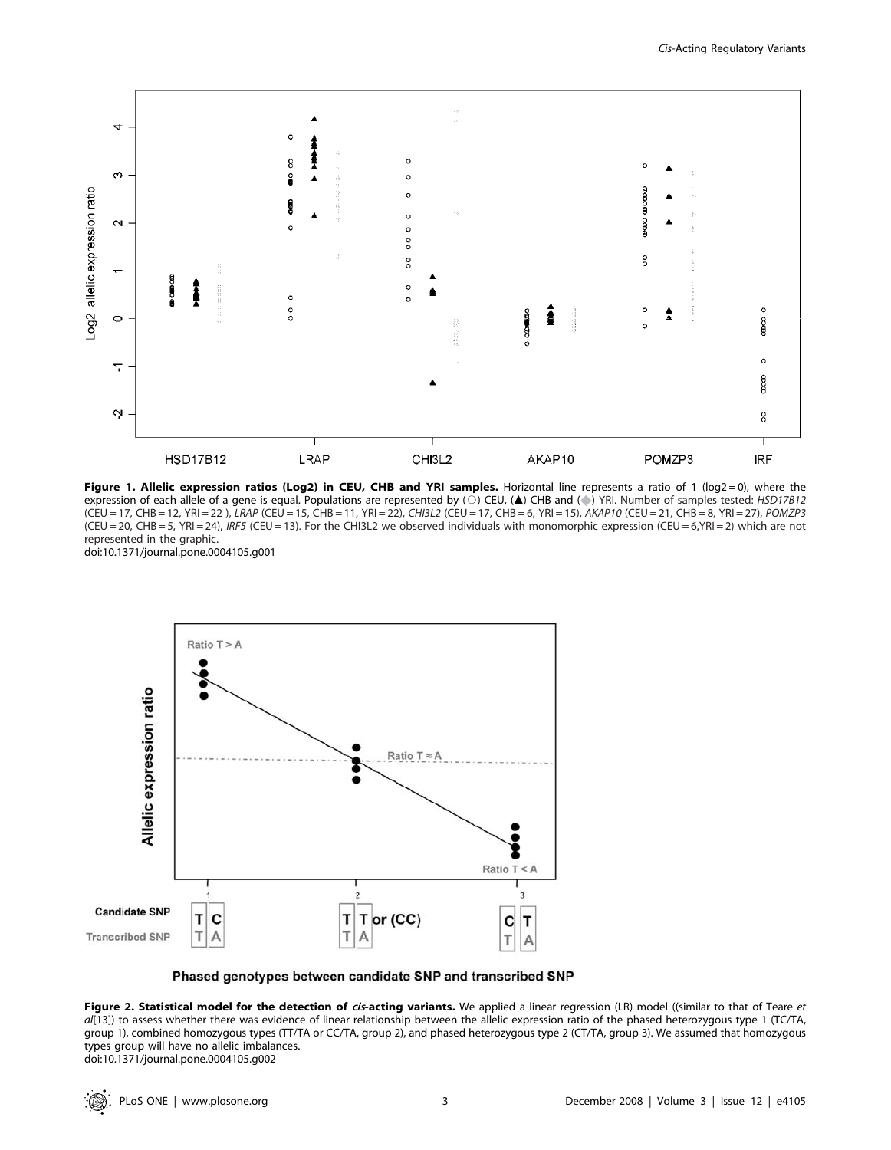

Figure 1. Allelic expression ratios (Log2) in CEU, CHB and YRI samples. Horizontal line represents a ratio of 1 (log2 = 0), where the expression of each allele of a gene is equal. Populations are represented by ( $\circ$ ) CEU, (A) CHB and ( $\circ$ ) YRI. Number of samples tested: HSD17B12 (CEU = 17, CHB = 12, YRI = 22 ), LRAP (CEU = 15, CHB = 11, YRI = 22), CHI3L2 (CEU = 17, CHB = 6, YRI = 15), AKAP10 (CEU = 21, CHB = 8, YRI = 27), POMZP3  $(CEU = 20, CHB = 5, YRI = 24)$ , IRF5 (CEU = 13). For the CHI3L2 we observed individuals with monomorphic expression (CEU = 6, YRI = 2) which are not represented in the graphic. doi:10.1371/journal.pone.0004105.g001



Phased genotypes between candidate SNP and transcribed SNP

Figure 2. Statistical model for the detection of cis-acting variants. We applied a linear regression (LR) model ((similar to that of Teare et al[13]) to assess whether there was evidence of linear relationship between the allelic expression ratio of the phased heterozygous type 1 (TC/TA, group 1), combined homozygous types (TT/TA or CC/TA, group 2), and phased heterozygous type 2 (CT/TA, group 3). We assumed that homozygous types group will have no allelic imbalances. doi:10.1371/journal.pone.0004105.g002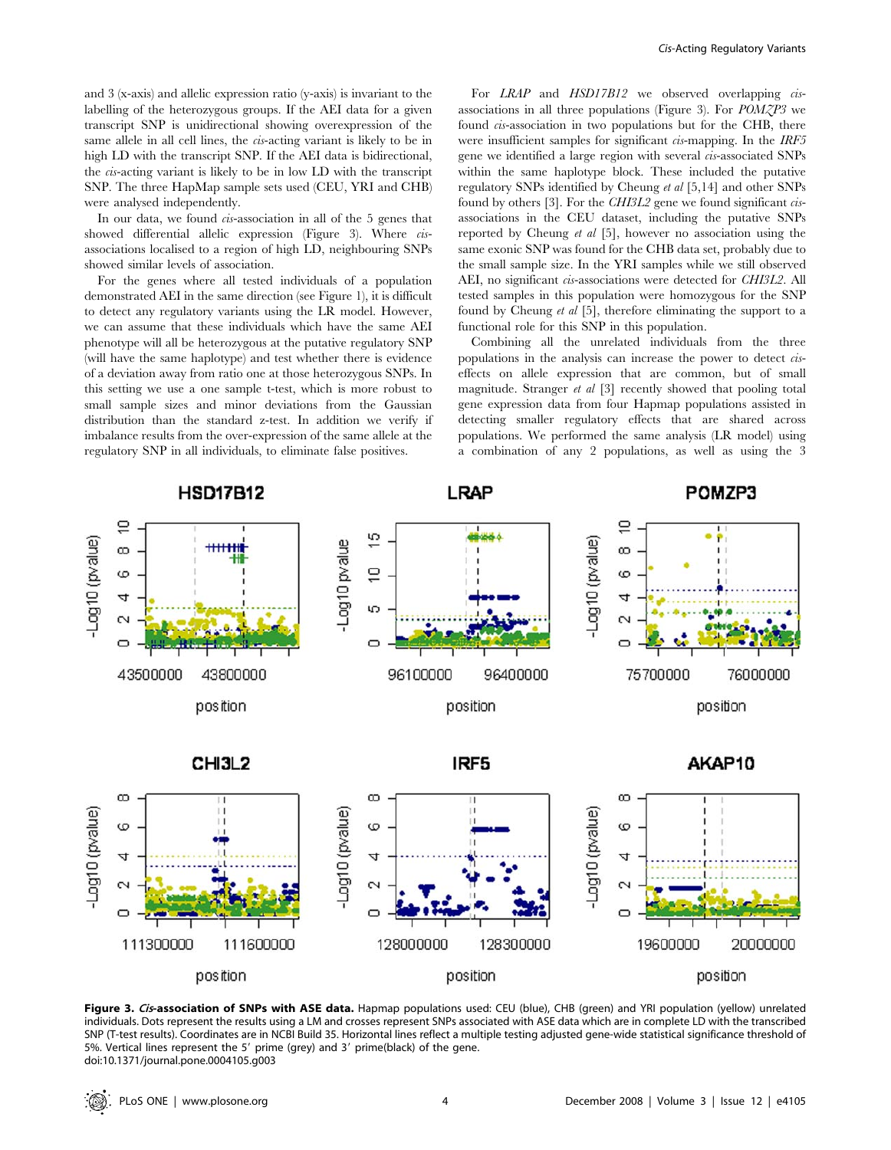and 3 (x-axis) and allelic expression ratio (y-axis) is invariant to the labelling of the heterozygous groups. If the AEI data for a given transcript SNP is unidirectional showing overexpression of the same allele in all cell lines, the cis-acting variant is likely to be in high LD with the transcript SNP. If the AEI data is bidirectional, the cis-acting variant is likely to be in low LD with the transcript SNP. The three HapMap sample sets used (CEU, YRI and CHB) were analysed independently.

In our data, we found *cis*-association in all of the 5 genes that showed differential allelic expression (Figure 3). Where *cis*associations localised to a region of high LD, neighbouring SNPs showed similar levels of association.

For the genes where all tested individuals of a population demonstrated AEI in the same direction (see Figure 1), it is difficult to detect any regulatory variants using the LR model. However, we can assume that these individuals which have the same AEI phenotype will all be heterozygous at the putative regulatory SNP (will have the same haplotype) and test whether there is evidence of a deviation away from ratio one at those heterozygous SNPs. In this setting we use a one sample t-test, which is more robust to small sample sizes and minor deviations from the Gaussian distribution than the standard z-test. In addition we verify if imbalance results from the over-expression of the same allele at the regulatory SNP in all individuals, to eliminate false positives.

For LRAP and HSD17B12 we observed overlapping cisassociations in all three populations (Figure 3). For POMZP3 we found *cis*-association in two populations but for the CHB, there were insufficient samples for significant cis-mapping. In the IRF5 gene we identified a large region with several cis-associated SNPs within the same haplotype block. These included the putative regulatory SNPs identified by Cheung et al [5,14] and other SNPs found by others [3]. For the  $CHI3L2$  gene we found significant *cis*associations in the CEU dataset, including the putative SNPs reported by Cheung et al [5], however no association using the same exonic SNP was found for the CHB data set, probably due to the small sample size. In the YRI samples while we still observed AEI, no significant *cis*-associations were detected for *CHI3L2*. All tested samples in this population were homozygous for the SNP found by Cheung et al [5], therefore eliminating the support to a functional role for this SNP in this population.

Combining all the unrelated individuals from the three populations in the analysis can increase the power to detect ciseffects on allele expression that are common, but of small magnitude. Stranger et al [3] recently showed that pooling total gene expression data from four Hapmap populations assisted in detecting smaller regulatory effects that are shared across populations. We performed the same analysis (LR model) using a combination of any 2 populations, as well as using the 3



Figure 3. Cis-association of SNPs with ASE data. Hapmap populations used: CEU (blue), CHB (green) and YRI population (yellow) unrelated individuals. Dots represent the results using a LM and crosses represent SNPs associated with ASE data which are in complete LD with the transcribed SNP (T-test results). Coordinates are in NCBI Build 35. Horizontal lines reflect a multiple testing adjusted gene-wide statistical significance threshold of 5%. Vertical lines represent the 5' prime (grey) and 3' prime(black) of the gene. doi:10.1371/journal.pone.0004105.g003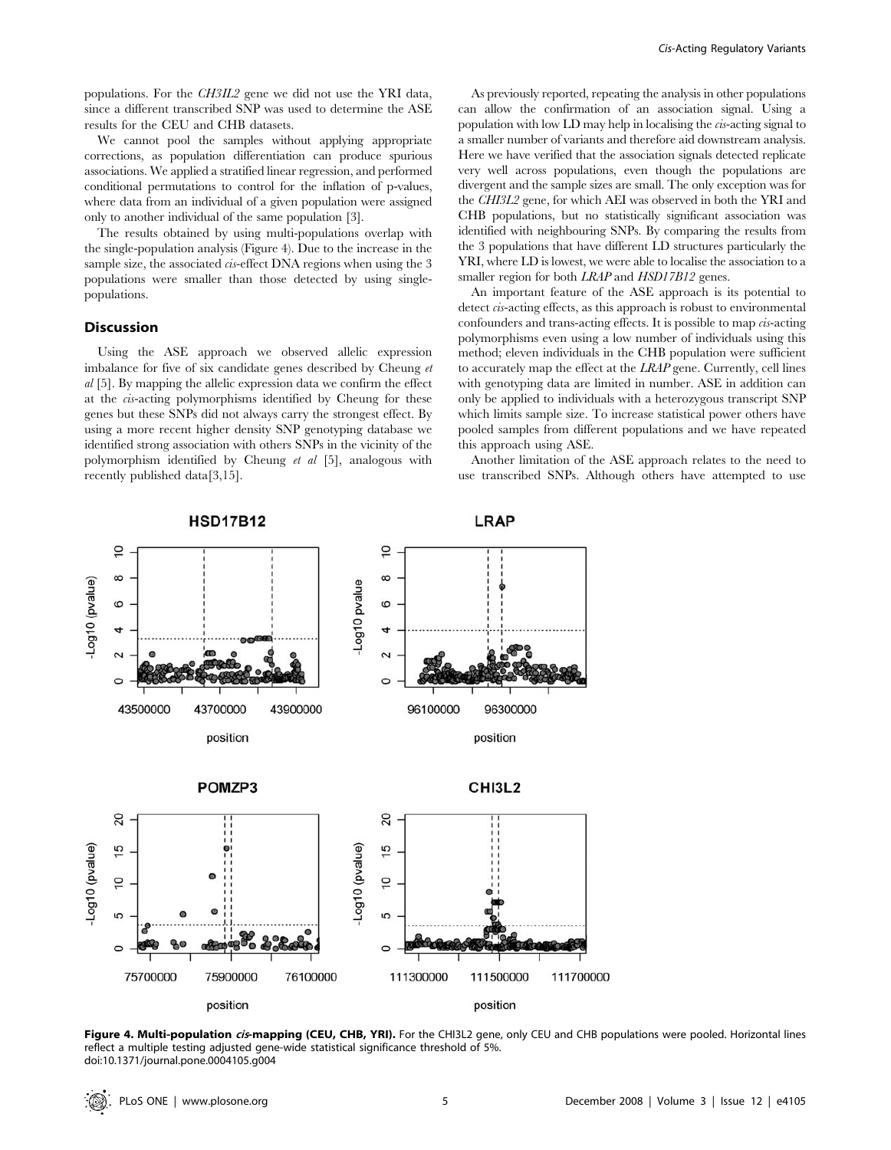We cannot pool the samples without applying appropriate corrections, as population differentiation can produce spurious associations. We applied a stratified linear regression, and performed conditional permutations to control for the inflation of p-values, where data from an individual of a given population were assigned only to another individual of the same population [3].

The results obtained by using multi-populations overlap with the single-population analysis (Figure 4). Due to the increase in the sample size, the associated *cis*-effect DNA regions when using the 3 populations were smaller than those detected by using singlepopulations.

## Discussion

Using the ASE approach we observed allelic expression imbalance for five of six candidate genes described by Cheung et al [5]. By mapping the allelic expression data we confirm the effect at the cis-acting polymorphisms identified by Cheung for these genes but these SNPs did not always carry the strongest effect. By using a more recent higher density SNP genotyping database we identified strong association with others SNPs in the vicinity of the polymorphism identified by Cheung et al [5], analogous with recently published data[3,15].

As previously reported, repeating the analysis in other populations can allow the confirmation of an association signal. Using a population with low LD may help in localising the  $\alpha$ -acting signal to a smaller number of variants and therefore aid downstream analysis. Here we have verified that the association signals detected replicate very well across populations, even though the populations are divergent and the sample sizes are small. The only exception was for the CHI3L2 gene, for which AEI was observed in both the YRI and CHB populations, but no statistically significant association was identified with neighbouring SNPs. By comparing the results from the 3 populations that have different LD structures particularly the YRI, where LD is lowest, we were able to localise the association to a smaller region for both LRAP and HSD17B12 genes.

An important feature of the ASE approach is its potential to detect *cis*-acting effects, as this approach is robust to environmental confounders and trans-acting effects. It is possible to map cis-acting polymorphisms even using a low number of individuals using this method; eleven individuals in the CHB population were sufficient to accurately map the effect at the LRAP gene. Currently, cell lines with genotyping data are limited in number. ASE in addition can only be applied to individuals with a heterozygous transcript SNP which limits sample size. To increase statistical power others have pooled samples from different populations and we have repeated this approach using ASE.

Another limitation of the ASE approach relates to the need to use transcribed SNPs. Although others have attempted to use



Figure 4. Multi-population cis-mapping (CEU, CHB, YRI). For the CHI3L2 gene, only CEU and CHB populations were pooled. Horizontal lines reflect a multiple testing adjusted gene-wide statistical significance threshold of 5%. doi:10.1371/journal.pone.0004105.g004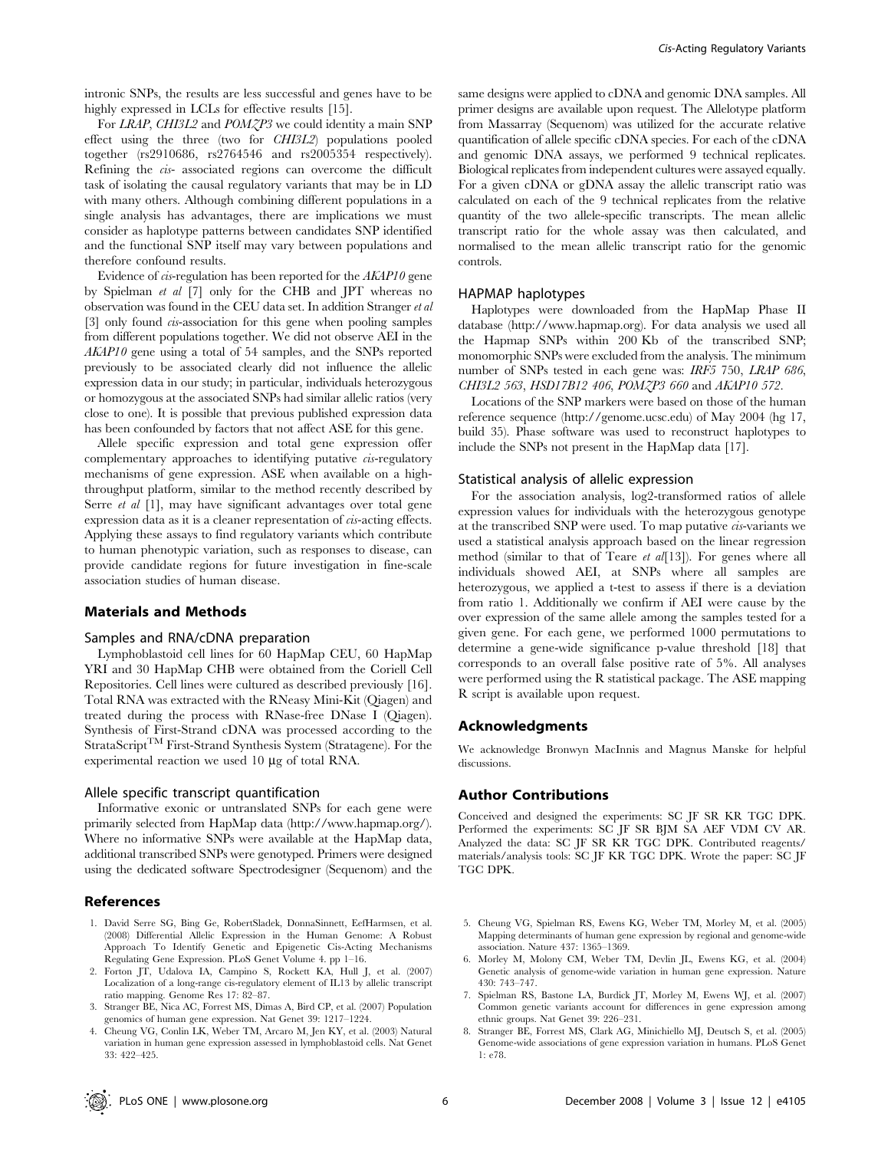intronic SNPs, the results are less successful and genes have to be highly expressed in LCLs for effective results [15].

For LRAP, CHI3L2 and POMZP3 we could identity a main SNP effect using the three (two for CHI3L2) populations pooled together (rs2910686, rs2764546 and rs2005354 respectively). Refining the cis- associated regions can overcome the difficult task of isolating the causal regulatory variants that may be in LD with many others. Although combining different populations in a single analysis has advantages, there are implications we must consider as haplotype patterns between candidates SNP identified and the functional SNP itself may vary between populations and therefore confound results.

Evidence of cis-regulation has been reported for the AKAP10 gene by Spielman et al [7] only for the CHB and JPT whereas no observation was found in the CEU data set. In addition Stranger et al [3] only found cis-association for this gene when pooling samples from different populations together. We did not observe AEI in the AKAP10 gene using a total of 54 samples, and the SNPs reported previously to be associated clearly did not influence the allelic expression data in our study; in particular, individuals heterozygous or homozygous at the associated SNPs had similar allelic ratios (very close to one). It is possible that previous published expression data has been confounded by factors that not affect ASE for this gene.

Allele specific expression and total gene expression offer complementary approaches to identifying putative cis-regulatory mechanisms of gene expression. ASE when available on a highthroughput platform, similar to the method recently described by Serre *et al* [1], may have significant advantages over total gene expression data as it is a cleaner representation of *cis*-acting effects. Applying these assays to find regulatory variants which contribute to human phenotypic variation, such as responses to disease, can provide candidate regions for future investigation in fine-scale association studies of human disease.

### Materials and Methods

#### Samples and RNA/cDNA preparation

Lymphoblastoid cell lines for 60 HapMap CEU, 60 HapMap YRI and 30 HapMap CHB were obtained from the Coriell Cell Repositories. Cell lines were cultured as described previously [16]. Total RNA was extracted with the RNeasy Mini-Kit (Qiagen) and treated during the process with RNase-free DNase I (Qiagen). Synthesis of First-Strand cDNA was processed according to the StrataScript<sup>TM</sup> First-Strand Synthesis System (Stratagene). For the experimental reaction we used 10 *m*g of total RNA.

## Allele specific transcript quantification

Informative exonic or untranslated SNPs for each gene were primarily selected from HapMap data (http://www.hapmap.org/). Where no informative SNPs were available at the HapMap data, additional transcribed SNPs were genotyped. Primers were designed using the dedicated software Spectrodesigner (Sequenom) and the

## References

- 1. David Serre SG, Bing Ge, RobertSladek, DonnaSinnett, EefHarmsen, et al. (2008) Differential Allelic Expression in the Human Genome: A Robust Approach To Identify Genetic and Epigenetic Cis-Acting Mechanisms Regulating Gene Expression. PLoS Genet Volume 4. pp 1–16.
- 2. Forton JT, Udalova IA, Campino S, Rockett KA, Hull J, et al. (2007) Localization of a long-range cis-regulatory element of IL13 by allelic transcript ratio mapping. Genome Res 17: 82–87.
- 3. Stranger BE, Nica AC, Forrest MS, Dimas A, Bird CP, et al. (2007) Population genomics of human gene expression. Nat Genet 39: 1217–1224.
- 4. Cheung VG, Conlin LK, Weber TM, Arcaro M, Jen KY, et al. (2003) Natural variation in human gene expression assessed in lymphoblastoid cells. Nat Genet 33: 422–425.

same designs were applied to cDNA and genomic DNA samples. All primer designs are available upon request. The Allelotype platform from Massarray (Sequenom) was utilized for the accurate relative quantification of allele specific cDNA species. For each of the cDNA and genomic DNA assays, we performed 9 technical replicates. Biological replicates from independent cultures were assayed equally. For a given cDNA or gDNA assay the allelic transcript ratio was calculated on each of the 9 technical replicates from the relative quantity of the two allele-specific transcripts. The mean allelic transcript ratio for the whole assay was then calculated, and normalised to the mean allelic transcript ratio for the genomic controls.

#### HAPMAP haplotypes

Haplotypes were downloaded from the HapMap Phase II database (http://www.hapmap.org). For data analysis we used all the Hapmap SNPs within 200 Kb of the transcribed SNP; monomorphic SNPs were excluded from the analysis. The minimum number of SNPs tested in each gene was: IRF5 750, LRAP 686, CHI3L2 563, HSD17B12 406, POMZP3 660 and AKAP10 572.

Locations of the SNP markers were based on those of the human reference sequence (http://genome.ucsc.edu) of May 2004 (hg 17, build 35). Phase software was used to reconstruct haplotypes to include the SNPs not present in the HapMap data [17].

#### Statistical analysis of allelic expression

For the association analysis, log2-transformed ratios of allele expression values for individuals with the heterozygous genotype at the transcribed SNP were used. To map putative cis-variants we used a statistical analysis approach based on the linear regression method (similar to that of Teare *et al*[13]). For genes where all individuals showed AEI, at SNPs where all samples are heterozygous, we applied a t-test to assess if there is a deviation from ratio 1. Additionally we confirm if AEI were cause by the over expression of the same allele among the samples tested for a given gene. For each gene, we performed 1000 permutations to determine a gene-wide significance p-value threshold [18] that corresponds to an overall false positive rate of 5%. All analyses were performed using the R statistical package. The ASE mapping R script is available upon request.

#### Acknowledgments

We acknowledge Bronwyn MacInnis and Magnus Manske for helpful discussions.

#### Author Contributions

Conceived and designed the experiments: SC JF SR KR TGC DPK. Performed the experiments: SC JF SR BJM SA AEF VDM CV AR. Analyzed the data: SC JF SR KR TGC DPK. Contributed reagents/ materials/analysis tools: SC JF KR TGC DPK. Wrote the paper: SC JF TGC DPK.

- 5. Cheung VG, Spielman RS, Ewens KG, Weber TM, Morley M, et al. (2005) Mapping determinants of human gene expression by regional and genome-wide association. Nature 437: 1365–1369.
- 6. Morley M, Molony CM, Weber TM, Devlin JL, Ewens KG, et al. (2004) Genetic analysis of genome-wide variation in human gene expression. Nature 430: 743–747.
- 7. Spielman RS, Bastone LA, Burdick JT, Morley M, Ewens WJ, et al. (2007) Common genetic variants account for differences in gene expression among ethnic groups. Nat Genet 39: 226–231.
- 8. Stranger BE, Forrest MS, Clark AG, Minichiello MJ, Deutsch S, et al. (2005) Genome-wide associations of gene expression variation in humans. PLoS Genet 1: e78.